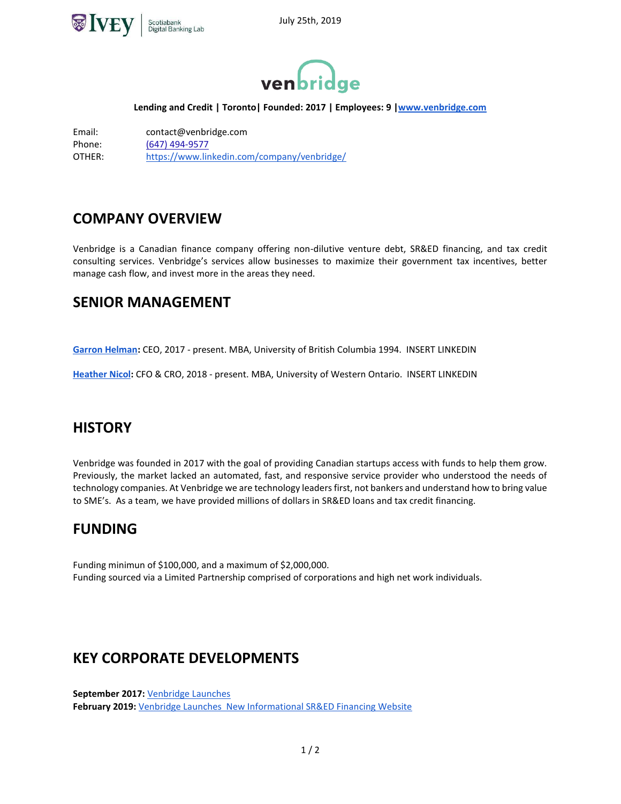



#### **Lending and Credit | Toronto| Founded: 2017 | Employees: 9 [|www.venbridge.com](http://www.venbridge.com/)**

Email: contact@venbridge.com Phone: [\(647\) 494-9577](https://www.google.com/search?q=venbridge&oq=v&aqs=chrome.0.69i59j69i60l4j69i61.1143j0j4&sourceid=chrome&ie=UTF-8) OTHER: <https://www.linkedin.com/company/venbridge/>

### **COMPANY OVERVIEW**

Venbridge is a Canadian finance company offering non-dilutive venture debt, SR&ED financing, and tax credit consulting services. Venbridge's services allow businesses to maximize their government tax incentives, better manage cash flow, and invest more in the areas they need.

### **SENIOR MANAGEMENT**

**[Garron Helman:](https://www.linkedin.com/in/garronhelman/)** CEO, 2017 - present. MBA, University of British Columbia 1994. INSERT LINKEDIN

**[Heather Nicol:](https://www.linkedin.com/in/heather-nicol-66714ba/)** CFO & CRO, 2018 - present. MBA, University of Western Ontario. INSERT LINKEDIN

### **HISTORY**

Venbridge was founded in 2017 with the goal of providing Canadian startups access with funds to help them grow. Previously, the market lacked an automated, fast, and responsive service provider who understood the needs of technology companies. At Venbridge we are technology leaders first, not bankers and understand how to bring value to SME's. As a team, we have provided millions of dollars in SR&ED loans and tax credit financing.

### **FUNDING**

Funding minimun of \$100,000, and a maximum of \$2,000,000. Funding sourced via a Limited Partnership comprised of corporations and high net work individuals.

### **KEY CORPORATE DEVELOPMENTS**

**September 2017:** [Venbridge Launches](https://www.globenewswire.com/news-release/2017/09/26/1132890/0/en/Venbridge-Launches-to-Offer-Growth-Financing-to-Canadian-SMEs.html) **February 2019:** [Venbridge Launches New Informational SR&ED Financing Website](https://venbridge.com/business/sred-financing-website/)